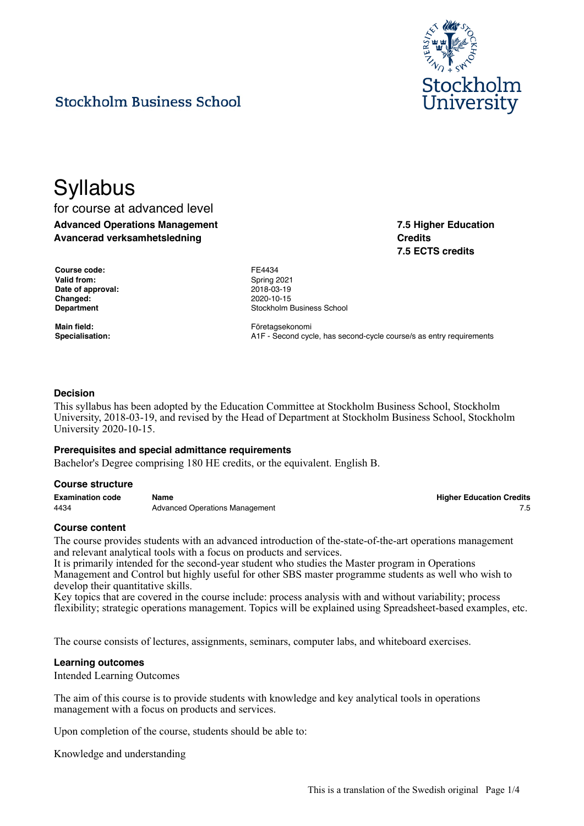

**7.5 Higher Education**

**7.5 ECTS credits**

**Credits**

# **Stockholm Business School**

# **Syllabus**

for course at advanced level **Advanced Operations Management Avancerad verksamhetsledning**

**Course code:** FE4434 Valid from: Spring 2021 **Date of approval:** 2018-03-19 **Changed:** 2020-10-15

**Department Constanting Constanting Constanting Constanting Constanting Constanting Constanting Constanting Constanting Constanting Constanting Constanting Constanting Constanting Constanting Constanting Constanting Cons** 

Main field: **Main field: Företagsekonomi Specialisation:** A1F - Second cycle, has second-cycle course/s as entry requirements

### **Decision**

This syllabus has been adopted by the Education Committee at Stockholm Business School, Stockholm University, 2018-03-19, and revised by the Head of Department at Stockholm Business School, Stockholm University 2020-10-15.

#### **Prerequisites and special admittance requirements**

Bachelor's Degree comprising 180 HE credits, or the equivalent. English B.

#### **Course structure**

**Examination code Name Higher Education Credits** 4434 **Advanced Operations Management Advanced Operations Management 15** 

#### **Course content**

The course provides students with an advanced introduction of the-state-of-the-art operations management and relevant analytical tools with a focus on products and services.

It is primarily intended for the second-year student who studies the Master program in Operations Management and Control but highly useful for other SBS master programme students as well who wish to develop their quantitative skills.

Key topics that are covered in the course include: process analysis with and without variability; process flexibility; strategic operations management. Topics will be explained using Spreadsheet-based examples, etc.

The course consists of lectures, assignments, seminars, computer labs, and whiteboard exercises.

#### **Learning outcomes**

Intended Learning Outcomes

The aim of this course is to provide students with knowledge and key analytical tools in operations management with a focus on products and services.

Upon completion of the course, students should be able to:

Knowledge and understanding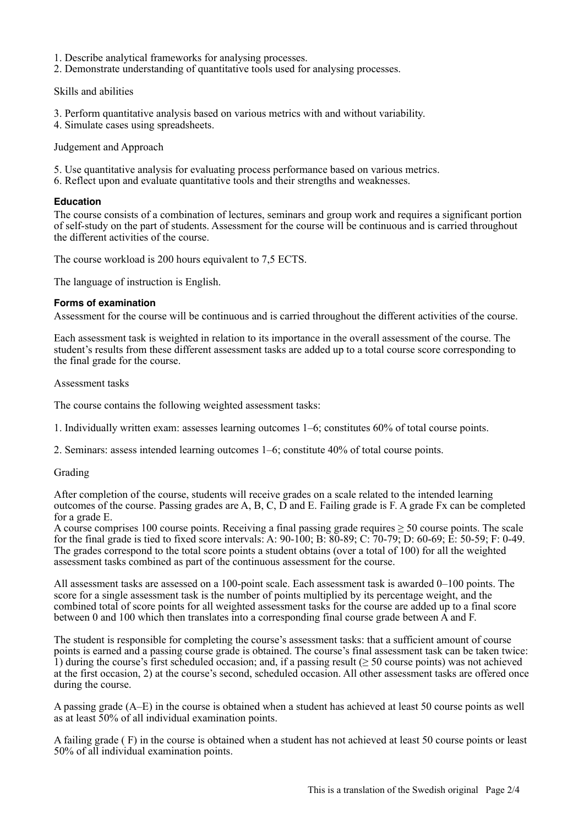- 1. Describe analytical frameworks for analysing processes.
- 2. Demonstrate understanding of quantitative tools used for analysing processes.

Skills and abilities

- 3. Perform quantitative analysis based on various metrics with and without variability.
- 4. Simulate cases using spreadsheets.

Judgement and Approach

- 5. Use quantitative analysis for evaluating process performance based on various metrics.
- 6. Reflect upon and evaluate quantitative tools and their strengths and weaknesses.

### **Education**

The course consists of a combination of lectures, seminars and group work and requires a significant portion of self-study on the part of students. Assessment for the course will be continuous and is carried throughout the different activities of the course.

The course workload is 200 hours equivalent to 7,5 ECTS.

The language of instruction is English.

### **Forms of examination**

Assessment for the course will be continuous and is carried throughout the different activities of the course.

Each assessment task is weighted in relation to its importance in the overall assessment of the course. The student's results from these different assessment tasks are added up to a total course score corresponding to the final grade for the course.

#### Assessment tasks

The course contains the following weighted assessment tasks:

1. Individually written exam: assesses learning outcomes 1–6; constitutes 60% of total course points.

2. Seminars: assess intended learning outcomes 1–6; constitute 40% of total course points.

# Grading

After completion of the course, students will receive grades on a scale related to the intended learning outcomes of the course. Passing grades are A, B, C, D and E. Failing grade is F. A grade Fx can be completed for a grade E.

A course comprises 100 course points. Receiving a final passing grade requires ≥ 50 course points. The scale for the final grade is tied to fixed score intervals: A: 90-100; B: 80-89; C: 70-79; D: 60-69; E: 50-59; F: 0-49. The grades correspond to the total score points a student obtains (over a total of 100) for all the weighted assessment tasks combined as part of the continuous assessment for the course.

All assessment tasks are assessed on a 100-point scale. Each assessment task is awarded 0–100 points. The score for a single assessment task is the number of points multiplied by its percentage weight, and the combined total of score points for all weighted assessment tasks for the course are added up to a final score between 0 and 100 which then translates into a corresponding final course grade between  $\hat{A}$  and  $\hat{F}$ .

The student is responsible for completing the course's assessment tasks: that a sufficient amount of course points is earned and a passing course grade is obtained. The course's final assessment task can be taken twice: 1) during the course's first scheduled occasion; and, if a passing result ( $\geq$  50 course points) was not achieved at the first occasion, 2) at the course's second, scheduled occasion. All other assessment tasks are offered once during the course.

A passing grade (A–E) in the course is obtained when a student has achieved at least 50 course points as well as at least 50% of all individual examination points.

A failing grade ( F) in the course is obtained when a student has not achieved at least 50 course points or least 50% of all individual examination points.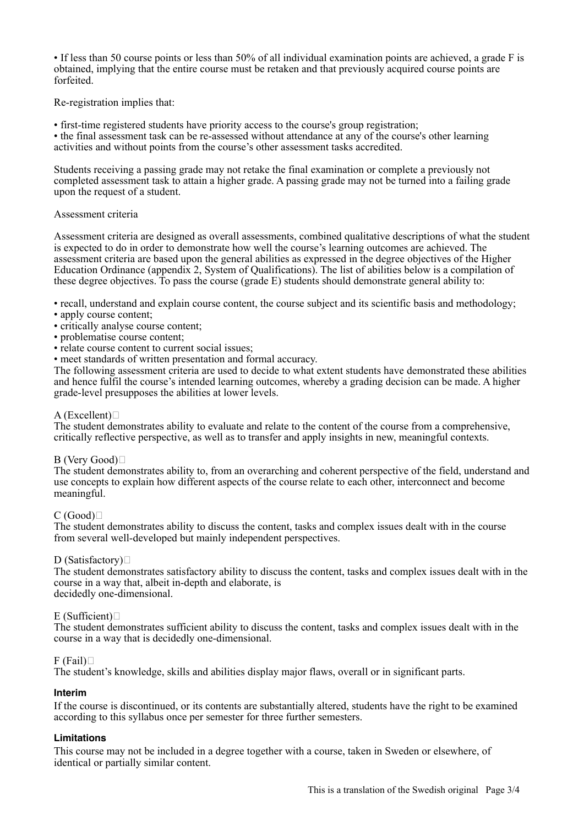• If less than 50 course points or less than 50% of all individual examination points are achieved, a grade F is obtained, implying that the entire course must be retaken and that previously acquired course points are forfeited.

Re-registration implies that:

• first-time registered students have priority access to the course's group registration;

• the final assessment task can be re-assessed without attendance at any of the course's other learning activities and without points from the course's other assessment tasks accredited.

Students receiving a passing grade may not retake the final examination or complete a previously not completed assessment task to attain a higher grade. A passing grade may not be turned into a failing grade upon the request of a student.

### Assessment criteria

Assessment criteria are designed as overall assessments, combined qualitative descriptions of what the student is expected to do in order to demonstrate how well the course's learning outcomes are achieved. The assessment criteria are based upon the general abilities as expressed in the degree objectives of the Higher Education Ordinance (appendix 2, System of Qualifications). The list of abilities below is a compilation of these degree objectives. To pass the course (grade E) students should demonstrate general ability to:

• recall, understand and explain course content, the course subject and its scientific basis and methodology;

- apply course content;
- critically analyse course content;
- problematise course content;
- relate course content to current social issues;

• meet standards of written presentation and formal accuracy.

The following assessment criteria are used to decide to what extent students have demonstrated these abilities and hence fulfil the course's intended learning outcomes, whereby a grading decision can be made. A higher grade-level presupposes the abilities at lower levels.

#### A (Excellent) $\Box$

The student demonstrates ability to evaluate and relate to the content of the course from a comprehensive, critically reflective perspective, as well as to transfer and apply insights in new, meaningful contexts.

#### B (Very Good) $\Box$

The student demonstrates ability to, from an overarching and coherent perspective of the field, understand and use concepts to explain how different aspects of the course relate to each other, interconnect and become meaningful.

# $C(Good)$

The student demonstrates ability to discuss the content, tasks and complex issues dealt with in the course from several well-developed but mainly independent perspectives.

#### D (Satisfactory) $\Box$

The student demonstrates satisfactory ability to discuss the content, tasks and complex issues dealt with in the course in a way that, albeit in-depth and elaborate, is decidedly one-dimensional.

#### $E$  (Sufficient) $\square$

The student demonstrates sufficient ability to discuss the content, tasks and complex issues dealt with in the course in a way that is decidedly one-dimensional.

#### $F$  (Fail) $\Box$

The student's knowledge, skills and abilities display major flaws, overall or in significant parts.

#### **Interim**

If the course is discontinued, or its contents are substantially altered, students have the right to be examined according to this syllabus once per semester for three further semesters.

# **Limitations**

This course may not be included in a degree together with a course, taken in Sweden or elsewhere, of identical or partially similar content.